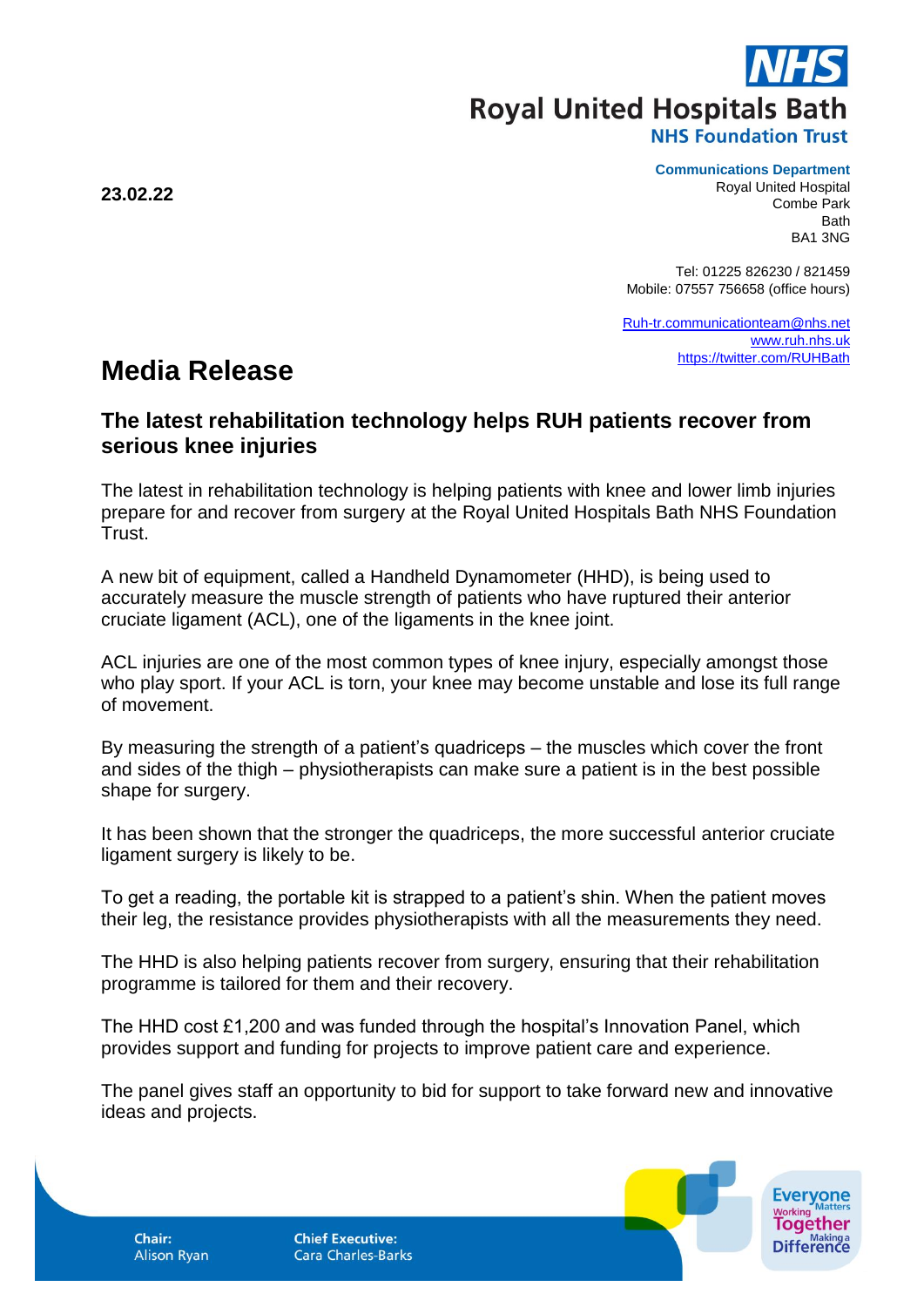**Royal United Hospitals Bath** 

**NHS Foundation Trust** 

**Communications Department**

Royal United Hospital Combe Park Bath BA1 3NG

Tel: 01225 826230 / 821459 Mobile: 07557 756658 (office hours)

[Ruh-tr.communicationteam@nhs.net](mailto:Ruh-tr.communicationteam@nhs.net) [www.ruh.nhs.uk](http://www.ruh.nhs.uk/) <https://twitter.com/RUHBath>

## **Media Release**

## **The latest rehabilitation technology helps RUH patients recover from serious knee injuries**

The latest in rehabilitation technology is helping patients with knee and lower limb injuries prepare for and recover from surgery at the Royal United Hospitals Bath NHS Foundation Trust.

A new bit of equipment, called a Handheld Dynamometer (HHD), is being used to accurately measure the muscle strength of patients who have ruptured their anterior cruciate ligament (ACL), one of the ligaments in the knee joint.

ACL injuries are one of the most common types of knee injury, especially amongst those who play sport. If your ACL is torn, your knee may become unstable and lose its full range of movement.

By measuring the strength of a patient's quadriceps – the muscles which cover the front and sides of the thigh – physiotherapists can make sure a patient is in the best possible shape for surgery.

It has been shown that the stronger the quadriceps, the more successful anterior cruciate ligament surgery is likely to be.

To get a reading, the portable kit is strapped to a patient's shin. When the patient moves their leg, the resistance provides physiotherapists with all the measurements they need.

The HHD is also helping patients recover from surgery, ensuring that their rehabilitation programme is tailored for them and their recovery.

The HHD cost £1,200 and was funded through the hospital's Innovation Panel, which provides support and funding for projects to improve patient care and experience.

The panel gives staff an opportunity to bid for support to take forward new and innovative ideas and projects.

**Alison Ryan** 

**Chief Executive: Cara Charles-Barks** 



**23.02.22**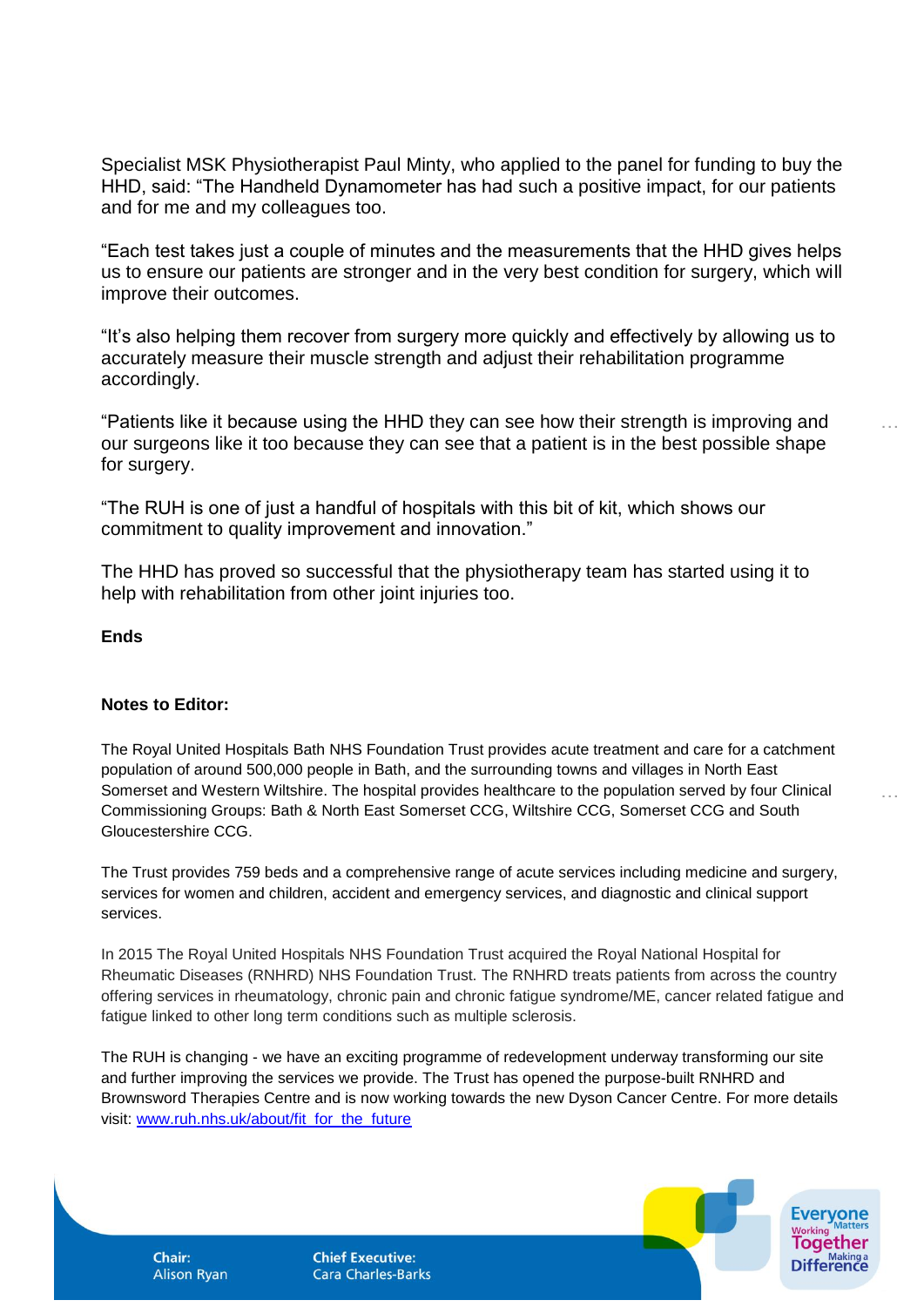Specialist MSK Physiotherapist Paul Minty, who applied to the panel for funding to buy the HHD, said: "The Handheld Dynamometer has had such a positive impact, for our patients and for me and my colleagues too.

"Each test takes just a couple of minutes and the measurements that the HHD gives helps us to ensure our patients are stronger and in the very best condition for surgery, which will improve their outcomes.

"It's also helping them recover from surgery more quickly and effectively by allowing us to accurately measure their muscle strength and adjust their rehabilitation programme accordingly.

"Patients like it because using the HHD they can see how their strength is improving and our surgeons like it too because they can see that a patient is in the best possible shape for surgery.

…

…

"The RUH is one of just a handful of hospitals with this bit of kit, which shows our commitment to quality improvement and innovation."

The HHD has proved so successful that the physiotherapy team has started using it to help with rehabilitation from other joint injuries too.

**Ends**

## **Notes to Editor:**

The Royal United Hospitals Bath NHS Foundation Trust provides acute treatment and care for a catchment population of around 500,000 people in Bath, and the surrounding towns and villages in North East Somerset and Western Wiltshire. The hospital provides healthcare to the population served by four Clinical Commissioning Groups: Bath & North East Somerset CCG, Wiltshire CCG, Somerset CCG and South Gloucestershire CCG.

The Trust provides 759 beds and a comprehensive range of acute services including medicine and surgery, services for women and children, accident and emergency services, and diagnostic and clinical support services.

In 2015 The Royal United Hospitals NHS Foundation Trust acquired the Royal National Hospital for Rheumatic Diseases (RNHRD) NHS Foundation Trust. The RNHRD treats patients from across the country offering services in rheumatology, chronic pain and chronic fatigue syndrome/ME, cancer related fatigue and fatigue linked to other long term conditions such as multiple sclerosis.

The RUH is changing - we have an exciting programme of redevelopment underway transforming our site and further improving the services we provide. The Trust has opened the purpose-built RNHRD and Brownsword Therapies Centre and is now working towards the new Dyson Cancer Centre. For more details visit: [www.ruh.nhs.uk/about/fit\\_for\\_the\\_future](http://www.ruh.nhs.uk/about/fit_for_the_future)

**Alison Ryan** 

**Chair:** 

**Chief Executive: Cara Charles-Barks**